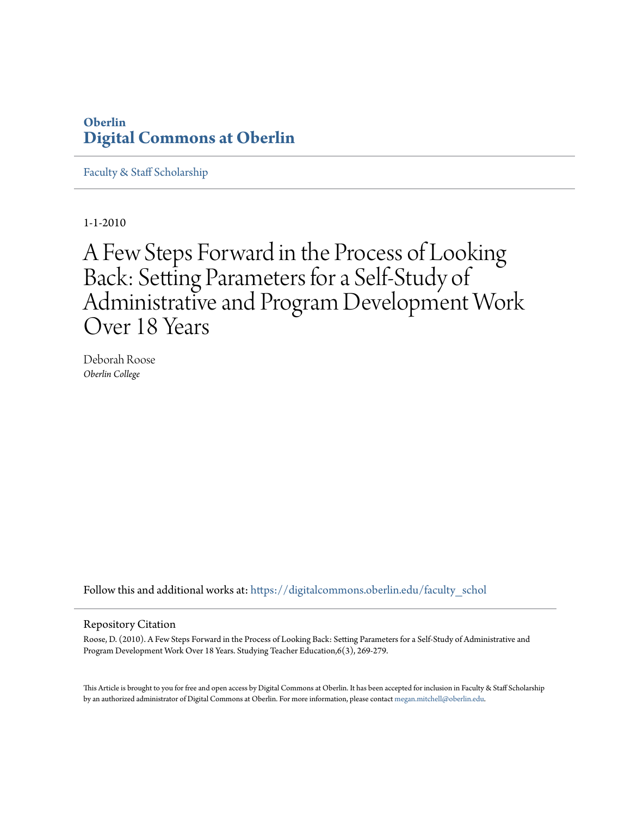# **Oberlin [Digital Commons at Oberlin](https://digitalcommons.oberlin.edu?utm_source=digitalcommons.oberlin.edu%2Ffaculty_schol%2F1434&utm_medium=PDF&utm_campaign=PDFCoverPages)**

[Faculty & Staff Scholarship](https://digitalcommons.oberlin.edu/faculty_schol?utm_source=digitalcommons.oberlin.edu%2Ffaculty_schol%2F1434&utm_medium=PDF&utm_campaign=PDFCoverPages)

1-1-2010

# A Few Steps Forward in the Process of Looking Back: Setting Parameters for a Self-Study of Administrative and Program Development Work Over 18 Years

Deborah Roose *Oberlin College*

Follow this and additional works at: [https://digitalcommons.oberlin.edu/faculty\\_schol](https://digitalcommons.oberlin.edu/faculty_schol?utm_source=digitalcommons.oberlin.edu%2Ffaculty_schol%2F1434&utm_medium=PDF&utm_campaign=PDFCoverPages)

#### Repository Citation

Roose, D. (2010). A Few Steps Forward in the Process of Looking Back: Setting Parameters for a Self-Study of Administrative and Program Development Work Over 18 Years. Studying Teacher Education,6(3), 269-279.

This Article is brought to you for free and open access by Digital Commons at Oberlin. It has been accepted for inclusion in Faculty & Staff Scholarship by an authorized administrator of Digital Commons at Oberlin. For more information, please contact [megan.mitchell@oberlin.edu.](mailto:megan.mitchell@oberlin.edu)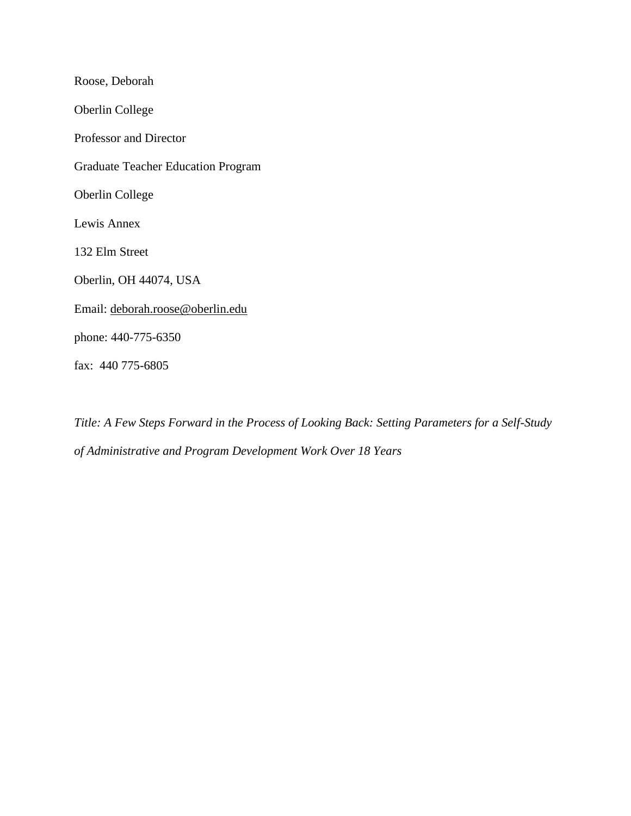Roose, Deborah Oberlin College Professor and Director Graduate Teacher Education Program Oberlin College Lewis Annex 132 Elm Street Oberlin, OH 44074, USA Email: [deborah.roose@oberlin.edu](mailto:deborah.roose@oberlin.edu) phone: 440-775-6350 fax: 440 775-6805

*Title: A Few Steps Forward in the Process of Looking Back: Setting Parameters for a Self-Study of Administrative and Program Development Work Over 18 Years*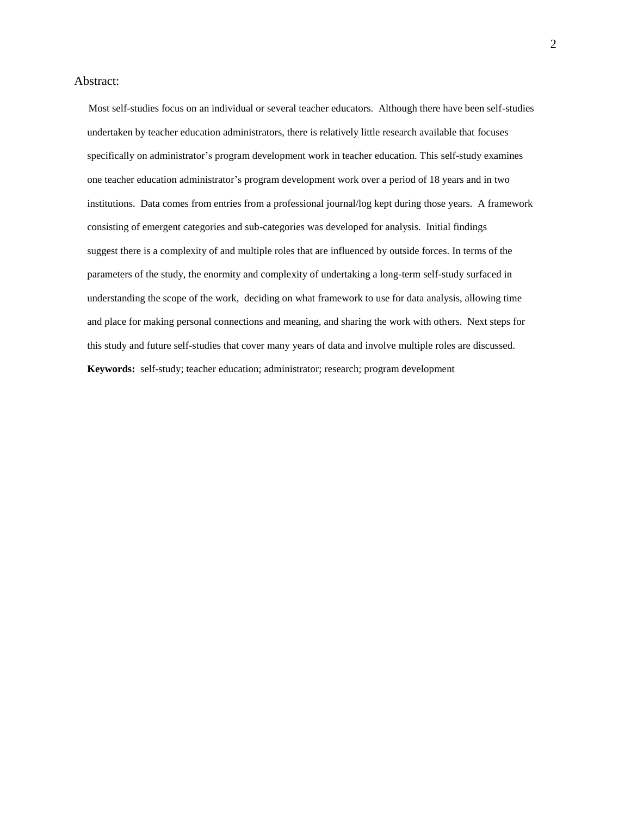#### Abstract:

 Most self-studies focus on an individual or several teacher educators. Although there have been self-studies undertaken by teacher education administrators, there is relatively little research available that focuses specifically on administrator's program development work in teacher education. This self-study examines one teacher education administrator's program development work over a period of 18 years and in two institutions. Data comes from entries from a professional journal/log kept during those years. A framework consisting of emergent categories and sub-categories was developed for analysis. Initial findings suggest there is a complexity of and multiple roles that are influenced by outside forces. In terms of the parameters of the study, the enormity and complexity of undertaking a long-term self-study surfaced in understanding the scope of the work, deciding on what framework to use for data analysis, allowing time and place for making personal connections and meaning, and sharing the work with others. Next steps for this study and future self-studies that cover many years of data and involve multiple roles are discussed. **Keywords:** self-study; teacher education; administrator; research; program development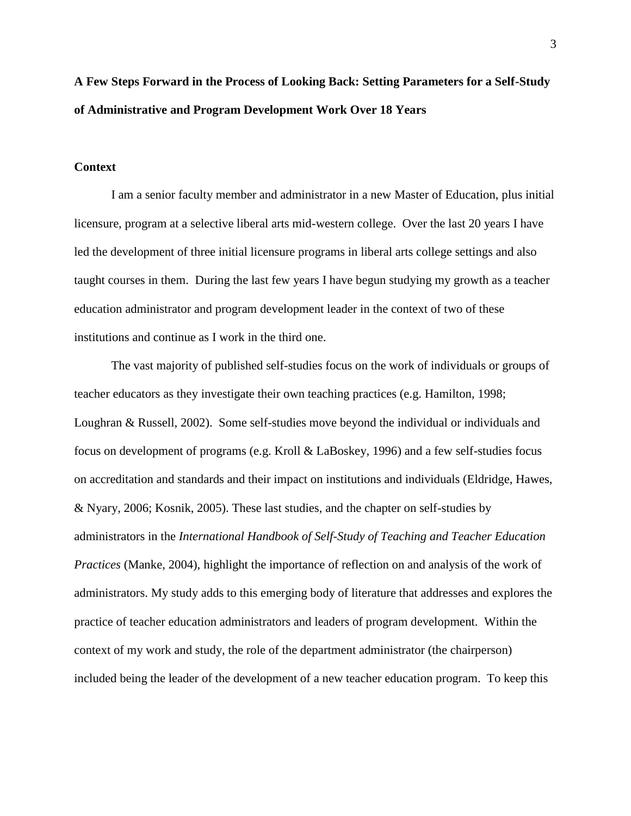**A Few Steps Forward in the Process of Looking Back: Setting Parameters for a Self-Study of Administrative and Program Development Work Over 18 Years**

# **Context**

I am a senior faculty member and administrator in a new Master of Education, plus initial licensure, program at a selective liberal arts mid-western college. Over the last 20 years I have led the development of three initial licensure programs in liberal arts college settings and also taught courses in them. During the last few years I have begun studying my growth as a teacher education administrator and program development leader in the context of two of these institutions and continue as I work in the third one.

The vast majority of published self-studies focus on the work of individuals or groups of teacher educators as they investigate their own teaching practices (e.g. Hamilton, 1998; Loughran & Russell, 2002). Some self-studies move beyond the individual or individuals and focus on development of programs (e.g. Kroll & LaBoskey, 1996) and a few self-studies focus on accreditation and standards and their impact on institutions and individuals (Eldridge, Hawes, & Nyary, 2006; Kosnik, 2005). These last studies, and the chapter on self-studies by administrators in the *International Handbook of Self-Study of Teaching and Teacher Education Practices* (Manke, 2004), highlight the importance of reflection on and analysis of the work of administrators. My study adds to this emerging body of literature that addresses and explores the practice of teacher education administrators and leaders of program development. Within the context of my work and study, the role of the department administrator (the chairperson) included being the leader of the development of a new teacher education program. To keep this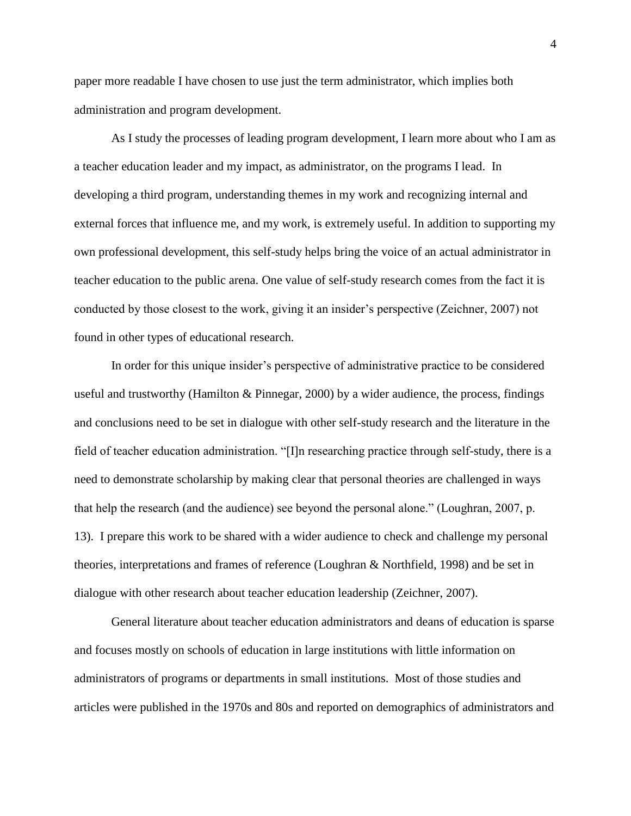paper more readable I have chosen to use just the term administrator, which implies both administration and program development.

As I study the processes of leading program development, I learn more about who I am as a teacher education leader and my impact, as administrator, on the programs I lead. In developing a third program, understanding themes in my work and recognizing internal and external forces that influence me, and my work, is extremely useful. In addition to supporting my own professional development, this self-study helps bring the voice of an actual administrator in teacher education to the public arena. One value of self-study research comes from the fact it is conducted by those closest to the work, giving it an insider's perspective (Zeichner, 2007) not found in other types of educational research.

In order for this unique insider's perspective of administrative practice to be considered useful and trustworthy (Hamilton  $&$  Pinnegar, 2000) by a wider audience, the process, findings and conclusions need to be set in dialogue with other self-study research and the literature in the field of teacher education administration. "[I]n researching practice through self-study, there is a need to demonstrate scholarship by making clear that personal theories are challenged in ways that help the research (and the audience) see beyond the personal alone." (Loughran, 2007, p. 13). I prepare this work to be shared with a wider audience to check and challenge my personal theories, interpretations and frames of reference (Loughran & Northfield, 1998) and be set in dialogue with other research about teacher education leadership (Zeichner, 2007).

General literature about teacher education administrators and deans of education is sparse and focuses mostly on schools of education in large institutions with little information on administrators of programs or departments in small institutions. Most of those studies and articles were published in the 1970s and 80s and reported on demographics of administrators and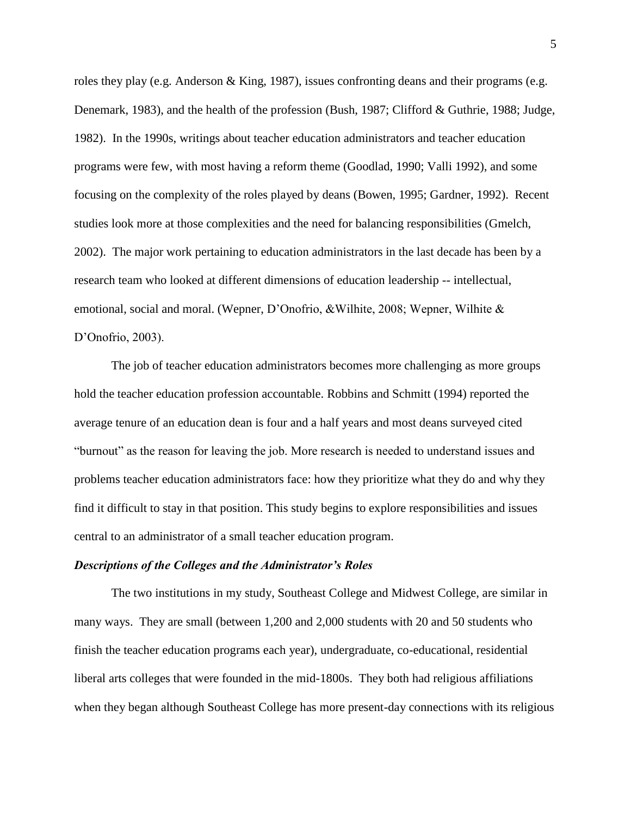roles they play (e.g. Anderson & King, 1987), issues confronting deans and their programs (e.g. Denemark, 1983), and the health of the profession (Bush, 1987; Clifford & Guthrie, 1988; Judge, 1982). In the 1990s, writings about teacher education administrators and teacher education programs were few, with most having a reform theme (Goodlad, 1990; Valli 1992), and some focusing on the complexity of the roles played by deans (Bowen, 1995; Gardner, 1992). Recent studies look more at those complexities and the need for balancing responsibilities (Gmelch, 2002). The major work pertaining to education administrators in the last decade has been by a research team who looked at different dimensions of education leadership -- intellectual, emotional, social and moral. (Wepner, D'Onofrio, &Wilhite, 2008; Wepner, Wilhite & D'Onofrio, 2003).

The job of teacher education administrators becomes more challenging as more groups hold the teacher education profession accountable. Robbins and Schmitt (1994) reported the average tenure of an education dean is four and a half years and most deans surveyed cited "burnout" as the reason for leaving the job. More research is needed to understand issues and problems teacher education administrators face: how they prioritize what they do and why they find it difficult to stay in that position. This study begins to explore responsibilities and issues central to an administrator of a small teacher education program.

#### *Descriptions of the Colleges and the Administrator's Roles*

The two institutions in my study, Southeast College and Midwest College, are similar in many ways. They are small (between 1,200 and 2,000 students with 20 and 50 students who finish the teacher education programs each year), undergraduate, co-educational, residential liberal arts colleges that were founded in the mid-1800s. They both had religious affiliations when they began although Southeast College has more present-day connections with its religious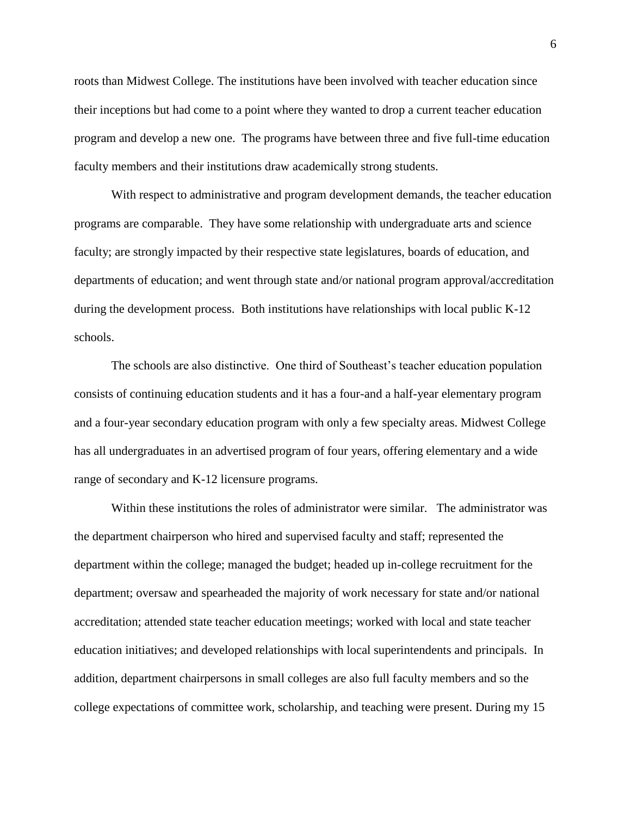roots than Midwest College. The institutions have been involved with teacher education since their inceptions but had come to a point where they wanted to drop a current teacher education program and develop a new one. The programs have between three and five full-time education faculty members and their institutions draw academically strong students.

With respect to administrative and program development demands, the teacher education programs are comparable. They have some relationship with undergraduate arts and science faculty; are strongly impacted by their respective state legislatures, boards of education, and departments of education; and went through state and/or national program approval/accreditation during the development process. Both institutions have relationships with local public K-12 schools.

The schools are also distinctive. One third of Southeast's teacher education population consists of continuing education students and it has a four-and a half-year elementary program and a four-year secondary education program with only a few specialty areas. Midwest College has all undergraduates in an advertised program of four years, offering elementary and a wide range of secondary and K-12 licensure programs.

Within these institutions the roles of administrator were similar. The administrator was the department chairperson who hired and supervised faculty and staff; represented the department within the college; managed the budget; headed up in-college recruitment for the department; oversaw and spearheaded the majority of work necessary for state and/or national accreditation; attended state teacher education meetings; worked with local and state teacher education initiatives; and developed relationships with local superintendents and principals. In addition, department chairpersons in small colleges are also full faculty members and so the college expectations of committee work, scholarship, and teaching were present. During my 15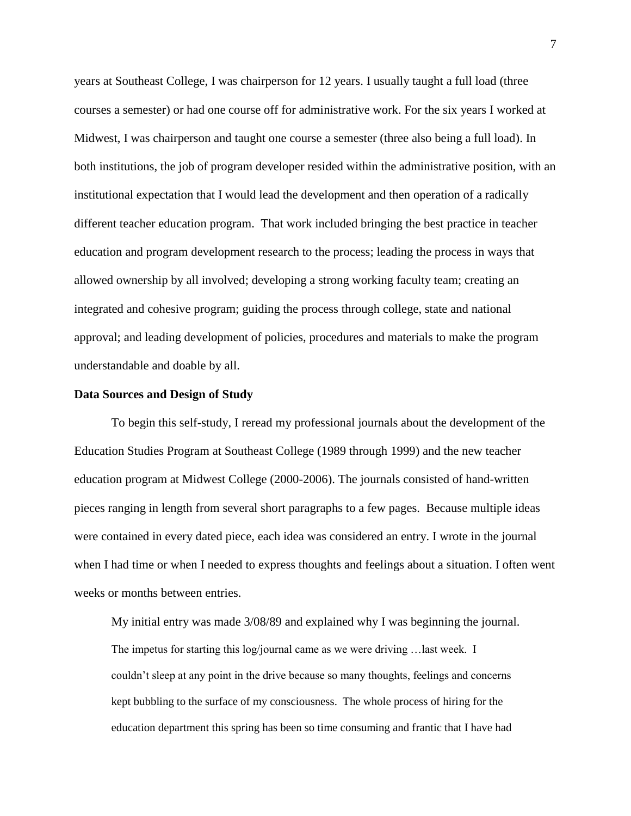years at Southeast College, I was chairperson for 12 years. I usually taught a full load (three courses a semester) or had one course off for administrative work. For the six years I worked at Midwest, I was chairperson and taught one course a semester (three also being a full load). In both institutions, the job of program developer resided within the administrative position, with an institutional expectation that I would lead the development and then operation of a radically different teacher education program. That work included bringing the best practice in teacher education and program development research to the process; leading the process in ways that allowed ownership by all involved; developing a strong working faculty team; creating an integrated and cohesive program; guiding the process through college, state and national approval; and leading development of policies, procedures and materials to make the program understandable and doable by all.

# **Data Sources and Design of Study**

To begin this self-study, I reread my professional journals about the development of the Education Studies Program at Southeast College (1989 through 1999) and the new teacher education program at Midwest College (2000-2006). The journals consisted of hand-written pieces ranging in length from several short paragraphs to a few pages. Because multiple ideas were contained in every dated piece, each idea was considered an entry. I wrote in the journal when I had time or when I needed to express thoughts and feelings about a situation. I often went weeks or months between entries.

My initial entry was made 3/08/89 and explained why I was beginning the journal. The impetus for starting this log/journal came as we were driving …last week. I couldn't sleep at any point in the drive because so many thoughts, feelings and concerns kept bubbling to the surface of my consciousness. The whole process of hiring for the education department this spring has been so time consuming and frantic that I have had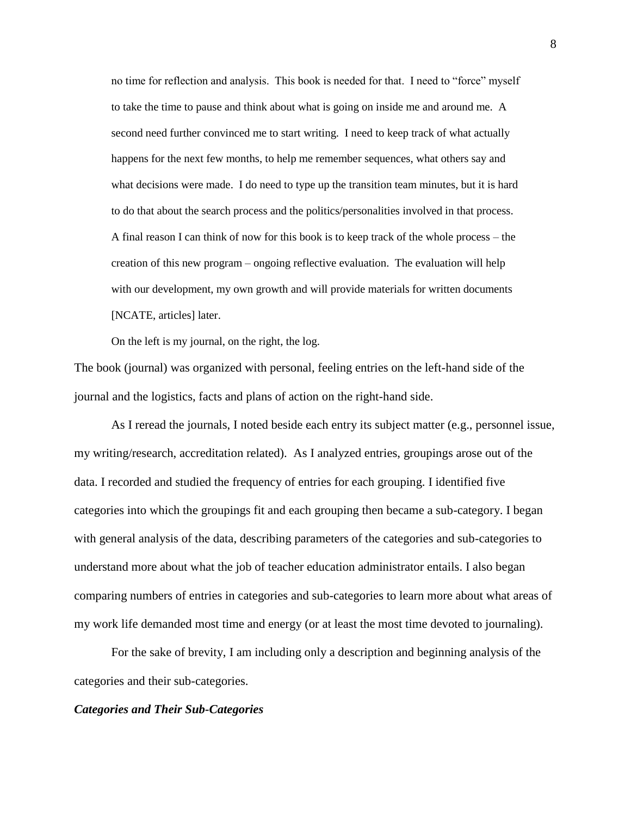no time for reflection and analysis. This book is needed for that. I need to "force" myself to take the time to pause and think about what is going on inside me and around me. A second need further convinced me to start writing. I need to keep track of what actually happens for the next few months, to help me remember sequences, what others say and what decisions were made. I do need to type up the transition team minutes, but it is hard to do that about the search process and the politics/personalities involved in that process. A final reason I can think of now for this book is to keep track of the whole process – the creation of this new program – ongoing reflective evaluation. The evaluation will help with our development, my own growth and will provide materials for written documents [NCATE, articles] later.

On the left is my journal, on the right, the log.

The book (journal) was organized with personal, feeling entries on the left-hand side of the journal and the logistics, facts and plans of action on the right-hand side.

As I reread the journals, I noted beside each entry its subject matter (e.g., personnel issue, my writing/research, accreditation related). As I analyzed entries, groupings arose out of the data. I recorded and studied the frequency of entries for each grouping. I identified five categories into which the groupings fit and each grouping then became a sub-category. I began with general analysis of the data, describing parameters of the categories and sub-categories to understand more about what the job of teacher education administrator entails. I also began comparing numbers of entries in categories and sub-categories to learn more about what areas of my work life demanded most time and energy (or at least the most time devoted to journaling).

For the sake of brevity, I am including only a description and beginning analysis of the categories and their sub-categories.

# *Categories and Their Sub-Categories*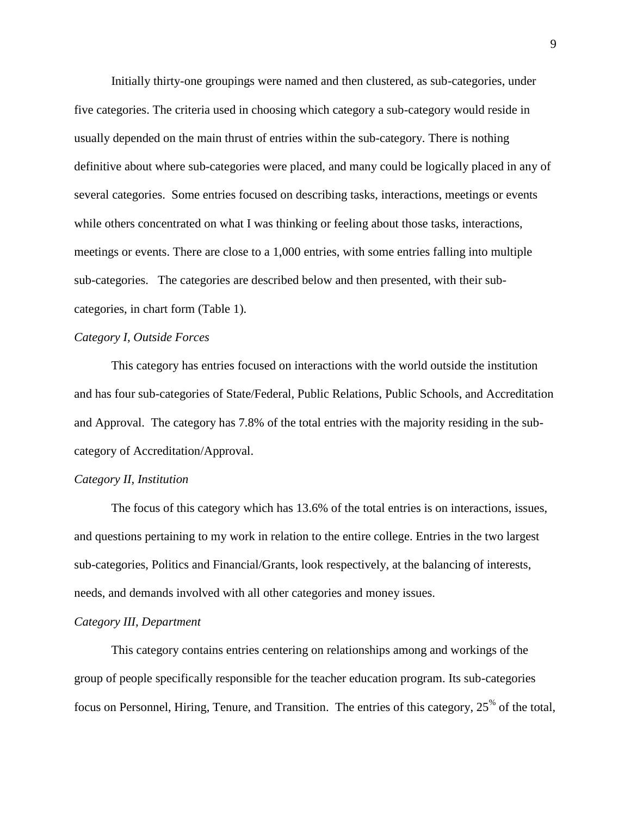Initially thirty-one groupings were named and then clustered, as sub-categories, under five categories. The criteria used in choosing which category a sub-category would reside in usually depended on the main thrust of entries within the sub-category. There is nothing definitive about where sub-categories were placed, and many could be logically placed in any of several categories. Some entries focused on describing tasks, interactions, meetings or events while others concentrated on what I was thinking or feeling about those tasks, interactions, meetings or events. There are close to a 1,000 entries, with some entries falling into multiple sub-categories. The categories are described below and then presented, with their subcategories, in chart form (Table 1).

# *Category I, Outside Forces*

This category has entries focused on interactions with the world outside the institution and has four sub-categories of State/Federal, Public Relations, Public Schools, and Accreditation and Approval. The category has 7.8% of the total entries with the majority residing in the subcategory of Accreditation/Approval.

# *Category II, Institution*

The focus of this category which has 13.6% of the total entries is on interactions, issues, and questions pertaining to my work in relation to the entire college. Entries in the two largest sub-categories, Politics and Financial/Grants, look respectively, at the balancing of interests, needs, and demands involved with all other categories and money issues.

#### *Category III, Department*

This category contains entries centering on relationships among and workings of the group of people specifically responsible for the teacher education program. Its sub-categories focus on Personnel, Hiring, Tenure, and Transition. The entries of this category,  $25^{\%}$  of the total,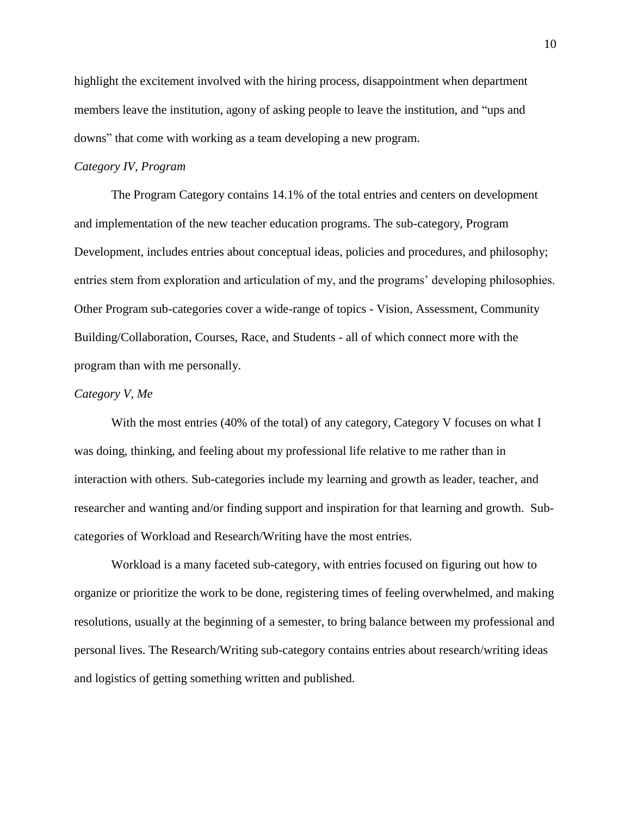highlight the excitement involved with the hiring process, disappointment when department members leave the institution, agony of asking people to leave the institution, and "ups and downs" that come with working as a team developing a new program.

# *Category IV, Program*

The Program Category contains 14.1% of the total entries and centers on development and implementation of the new teacher education programs. The sub-category, Program Development, includes entries about conceptual ideas, policies and procedures, and philosophy; entries stem from exploration and articulation of my, and the programs' developing philosophies. Other Program sub-categories cover a wide-range of topics - Vision, Assessment, Community Building/Collaboration, Courses, Race, and Students - all of which connect more with the program than with me personally.

#### *Category V, Me*

With the most entries (40% of the total) of any category, Category V focuses on what I was doing, thinking, and feeling about my professional life relative to me rather than in interaction with others. Sub-categories include my learning and growth as leader, teacher, and researcher and wanting and/or finding support and inspiration for that learning and growth. Subcategories of Workload and Research/Writing have the most entries.

Workload is a many faceted sub-category, with entries focused on figuring out how to organize or prioritize the work to be done, registering times of feeling overwhelmed, and making resolutions, usually at the beginning of a semester, to bring balance between my professional and personal lives. The Research/Writing sub-category contains entries about research/writing ideas and logistics of getting something written and published.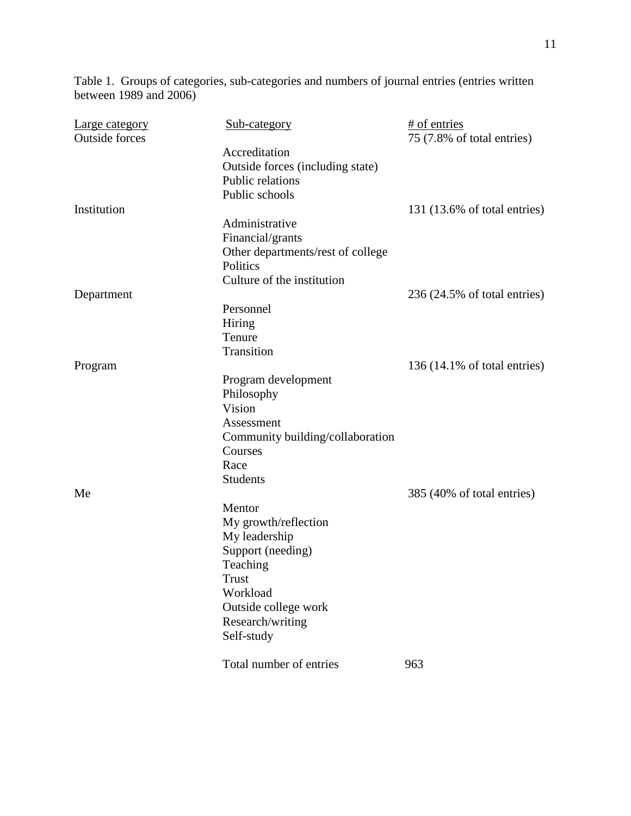Table 1. Groups of categories, sub-categories and numbers of journal entries (entries written between 1989 and 2006)

| Large category        | Sub-category                      | # of entries                            |
|-----------------------|-----------------------------------|-----------------------------------------|
| <b>Outside forces</b> |                                   | 75 (7.8% of total entries)              |
|                       | Accreditation                     |                                         |
|                       | Outside forces (including state)  |                                         |
|                       | Public relations                  |                                         |
|                       | Public schools                    |                                         |
| Institution           |                                   | $131$ (13.6% of total entries)          |
|                       | Administrative                    |                                         |
|                       | Financial/grants                  |                                         |
|                       | Other departments/rest of college |                                         |
|                       | Politics                          |                                         |
|                       | Culture of the institution        |                                         |
| Department            |                                   | $236 (24.5\% \text{ of total entries})$ |
|                       | Personnel                         |                                         |
|                       | Hiring                            |                                         |
|                       | Tenure                            |                                         |
|                       | Transition                        |                                         |
| Program               |                                   | 136 $(14.1\% \text{ of total entries})$ |
|                       | Program development               |                                         |
|                       | Philosophy                        |                                         |
|                       | Vision                            |                                         |
|                       |                                   |                                         |
|                       | Assessment                        |                                         |
|                       | Community building/collaboration  |                                         |
|                       | Courses                           |                                         |
|                       | Race                              |                                         |
|                       | <b>Students</b>                   |                                         |
| Me                    |                                   | 385 (40% of total entries)              |
|                       | Mentor                            |                                         |
|                       | My growth/reflection              |                                         |
|                       | My leadership                     |                                         |
|                       | Support (needing)                 |                                         |
|                       | Teaching                          |                                         |
|                       | Trust                             |                                         |
|                       | Workload                          |                                         |
|                       | Outside college work              |                                         |
|                       | Research/writing                  |                                         |
|                       | Self-study                        |                                         |
|                       | Total number of entries           | 963                                     |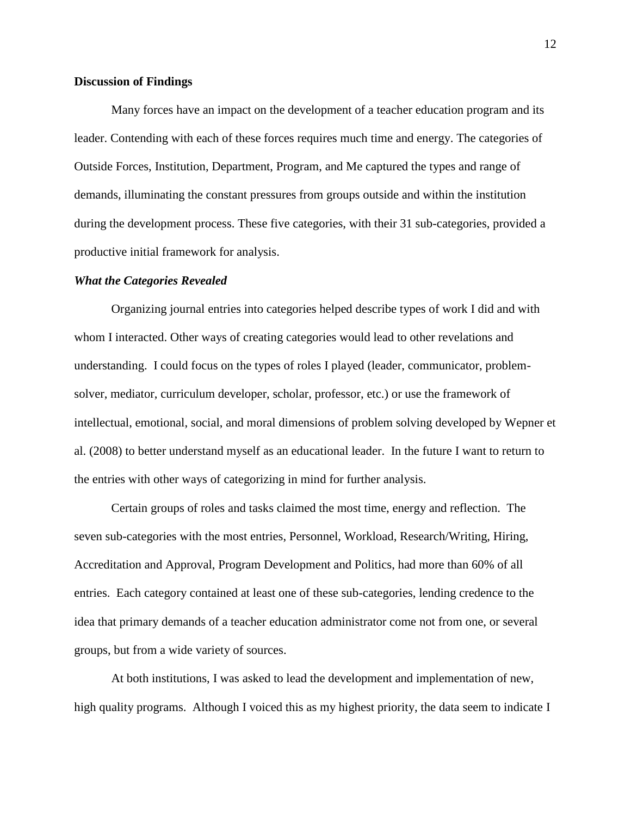# **Discussion of Findings**

Many forces have an impact on the development of a teacher education program and its leader. Contending with each of these forces requires much time and energy. The categories of Outside Forces, Institution, Department, Program, and Me captured the types and range of demands, illuminating the constant pressures from groups outside and within the institution during the development process. These five categories, with their 31 sub-categories, provided a productive initial framework for analysis.

#### *What the Categories Revealed*

Organizing journal entries into categories helped describe types of work I did and with whom I interacted. Other ways of creating categories would lead to other revelations and understanding. I could focus on the types of roles I played (leader, communicator, problemsolver, mediator, curriculum developer, scholar, professor, etc.) or use the framework of intellectual, emotional, social, and moral dimensions of problem solving developed by Wepner et al. (2008) to better understand myself as an educational leader. In the future I want to return to the entries with other ways of categorizing in mind for further analysis.

Certain groups of roles and tasks claimed the most time, energy and reflection. The seven sub-categories with the most entries, Personnel, Workload, Research/Writing, Hiring, Accreditation and Approval, Program Development and Politics, had more than 60% of all entries. Each category contained at least one of these sub-categories, lending credence to the idea that primary demands of a teacher education administrator come not from one, or several groups, but from a wide variety of sources.

At both institutions, I was asked to lead the development and implementation of new, high quality programs. Although I voiced this as my highest priority, the data seem to indicate I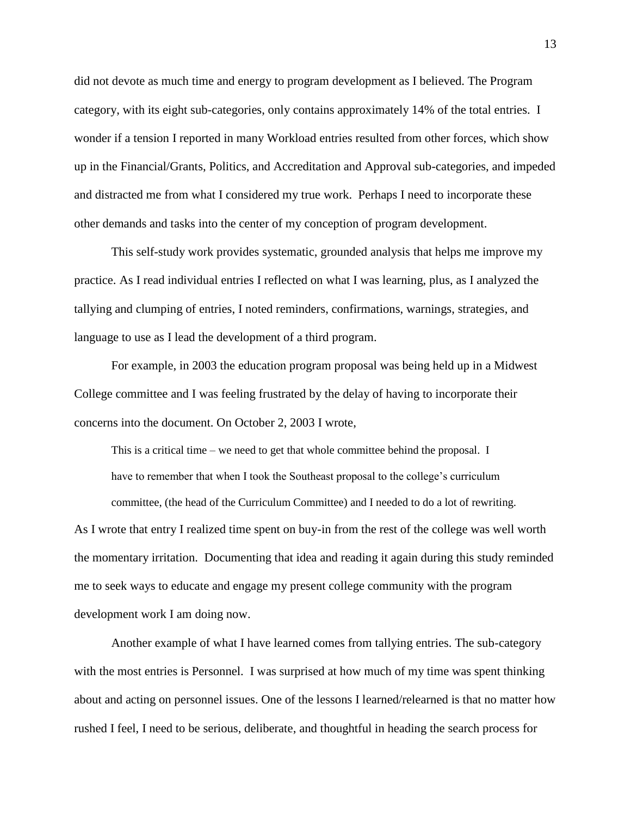did not devote as much time and energy to program development as I believed. The Program category, with its eight sub-categories, only contains approximately 14% of the total entries. I wonder if a tension I reported in many Workload entries resulted from other forces, which show up in the Financial/Grants, Politics, and Accreditation and Approval sub-categories, and impeded and distracted me from what I considered my true work. Perhaps I need to incorporate these other demands and tasks into the center of my conception of program development.

This self-study work provides systematic, grounded analysis that helps me improve my practice. As I read individual entries I reflected on what I was learning, plus, as I analyzed the tallying and clumping of entries, I noted reminders, confirmations, warnings, strategies, and language to use as I lead the development of a third program.

For example, in 2003 the education program proposal was being held up in a Midwest College committee and I was feeling frustrated by the delay of having to incorporate their concerns into the document. On October 2, 2003 I wrote,

This is a critical time – we need to get that whole committee behind the proposal. I have to remember that when I took the Southeast proposal to the college's curriculum committee, (the head of the Curriculum Committee) and I needed to do a lot of rewriting. As I wrote that entry I realized time spent on buy-in from the rest of the college was well worth the momentary irritation. Documenting that idea and reading it again during this study reminded me to seek ways to educate and engage my present college community with the program development work I am doing now.

Another example of what I have learned comes from tallying entries. The sub-category with the most entries is Personnel. I was surprised at how much of my time was spent thinking about and acting on personnel issues. One of the lessons I learned/relearned is that no matter how rushed I feel, I need to be serious, deliberate, and thoughtful in heading the search process for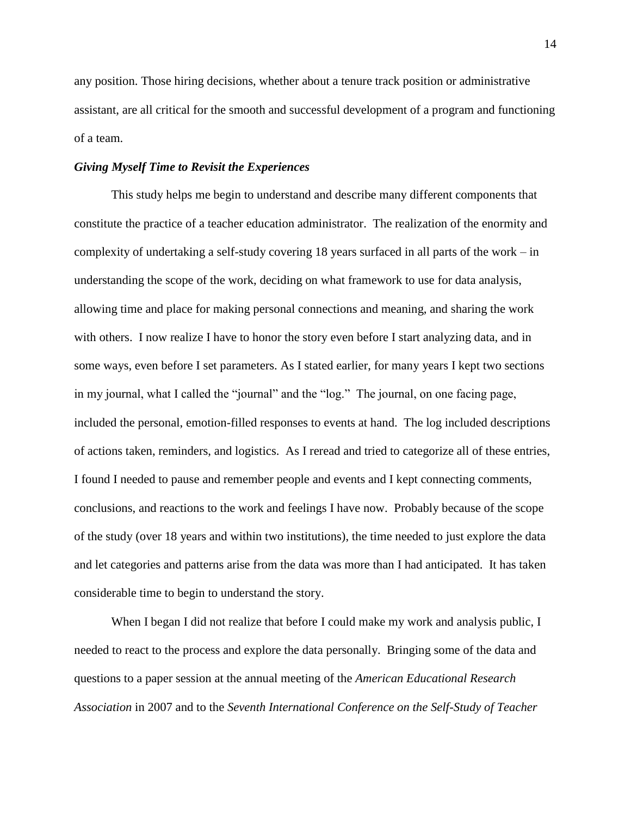any position. Those hiring decisions, whether about a tenure track position or administrative assistant, are all critical for the smooth and successful development of a program and functioning of a team.

# *Giving Myself Time to Revisit the Experiences*

This study helps me begin to understand and describe many different components that constitute the practice of a teacher education administrator. The realization of the enormity and complexity of undertaking a self-study covering 18 years surfaced in all parts of the work – in understanding the scope of the work, deciding on what framework to use for data analysis, allowing time and place for making personal connections and meaning, and sharing the work with others. I now realize I have to honor the story even before I start analyzing data, and in some ways, even before I set parameters. As I stated earlier, for many years I kept two sections in my journal, what I called the "journal" and the "log." The journal, on one facing page, included the personal, emotion-filled responses to events at hand. The log included descriptions of actions taken, reminders, and logistics. As I reread and tried to categorize all of these entries, I found I needed to pause and remember people and events and I kept connecting comments, conclusions, and reactions to the work and feelings I have now. Probably because of the scope of the study (over 18 years and within two institutions), the time needed to just explore the data and let categories and patterns arise from the data was more than I had anticipated. It has taken considerable time to begin to understand the story.

When I began I did not realize that before I could make my work and analysis public, I needed to react to the process and explore the data personally. Bringing some of the data and questions to a paper session at the annual meeting of the *American Educational Research Association* in 2007 and to the *Seventh International Conference on the Self-Study of Teacher*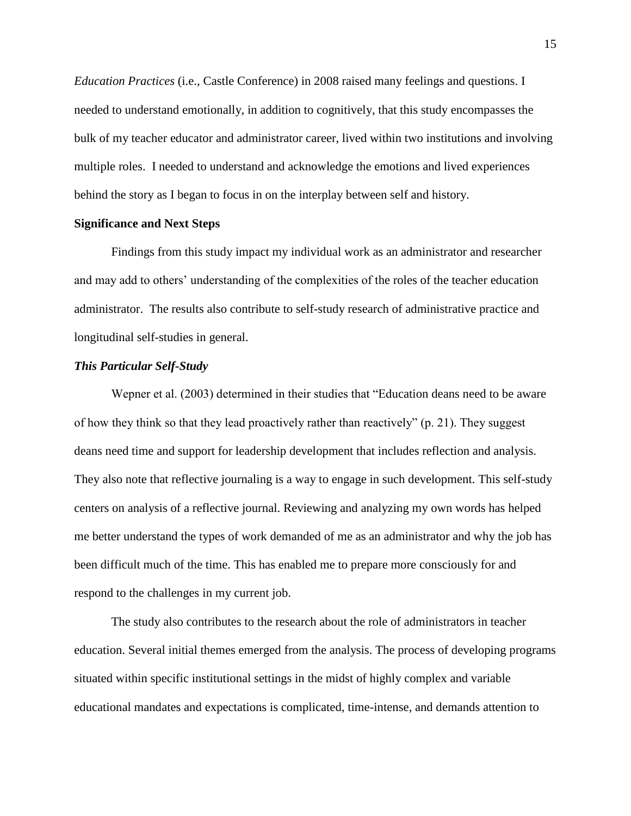*Education Practices* (i.e., Castle Conference) in 2008 raised many feelings and questions. I needed to understand emotionally, in addition to cognitively, that this study encompasses the bulk of my teacher educator and administrator career, lived within two institutions and involving multiple roles. I needed to understand and acknowledge the emotions and lived experiences behind the story as I began to focus in on the interplay between self and history.

# **Significance and Next Steps**

Findings from this study impact my individual work as an administrator and researcher and may add to others' understanding of the complexities of the roles of the teacher education administrator. The results also contribute to self-study research of administrative practice and longitudinal self-studies in general.

# *This Particular Self-Study*

Wepner et al. (2003) determined in their studies that "Education deans need to be aware of how they think so that they lead proactively rather than reactively" (p. 21). They suggest deans need time and support for leadership development that includes reflection and analysis. They also note that reflective journaling is a way to engage in such development. This self-study centers on analysis of a reflective journal. Reviewing and analyzing my own words has helped me better understand the types of work demanded of me as an administrator and why the job has been difficult much of the time. This has enabled me to prepare more consciously for and respond to the challenges in my current job.

The study also contributes to the research about the role of administrators in teacher education. Several initial themes emerged from the analysis. The process of developing programs situated within specific institutional settings in the midst of highly complex and variable educational mandates and expectations is complicated, time-intense, and demands attention to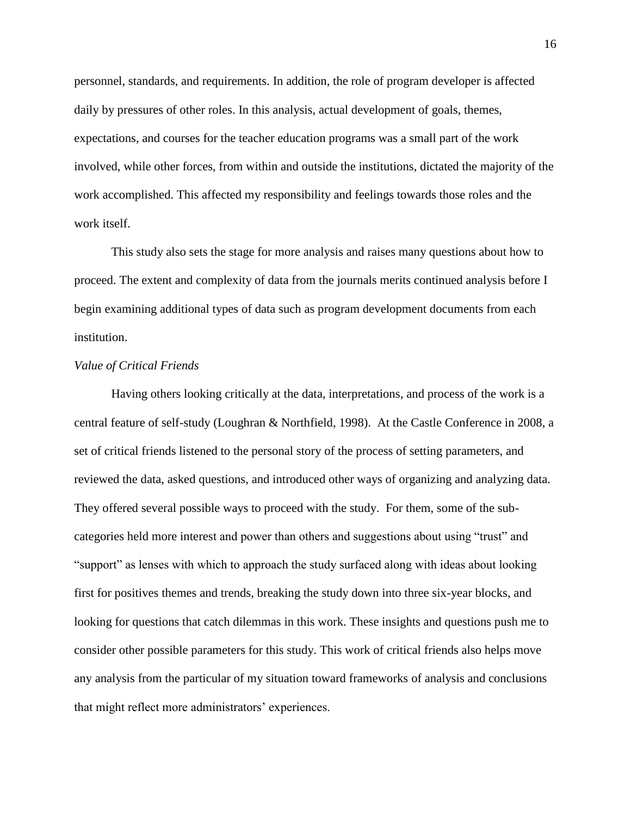personnel, standards, and requirements. In addition, the role of program developer is affected daily by pressures of other roles. In this analysis, actual development of goals, themes, expectations, and courses for the teacher education programs was a small part of the work involved, while other forces, from within and outside the institutions, dictated the majority of the work accomplished. This affected my responsibility and feelings towards those roles and the work itself.

This study also sets the stage for more analysis and raises many questions about how to proceed. The extent and complexity of data from the journals merits continued analysis before I begin examining additional types of data such as program development documents from each institution.

# *Value of Critical Friends*

Having others looking critically at the data, interpretations, and process of the work is a central feature of self-study (Loughran & Northfield, 1998). At the Castle Conference in 2008, a set of critical friends listened to the personal story of the process of setting parameters, and reviewed the data, asked questions, and introduced other ways of organizing and analyzing data. They offered several possible ways to proceed with the study. For them, some of the subcategories held more interest and power than others and suggestions about using "trust" and "support" as lenses with which to approach the study surfaced along with ideas about looking first for positives themes and trends, breaking the study down into three six-year blocks, and looking for questions that catch dilemmas in this work. These insights and questions push me to consider other possible parameters for this study. This work of critical friends also helps move any analysis from the particular of my situation toward frameworks of analysis and conclusions that might reflect more administrators' experiences.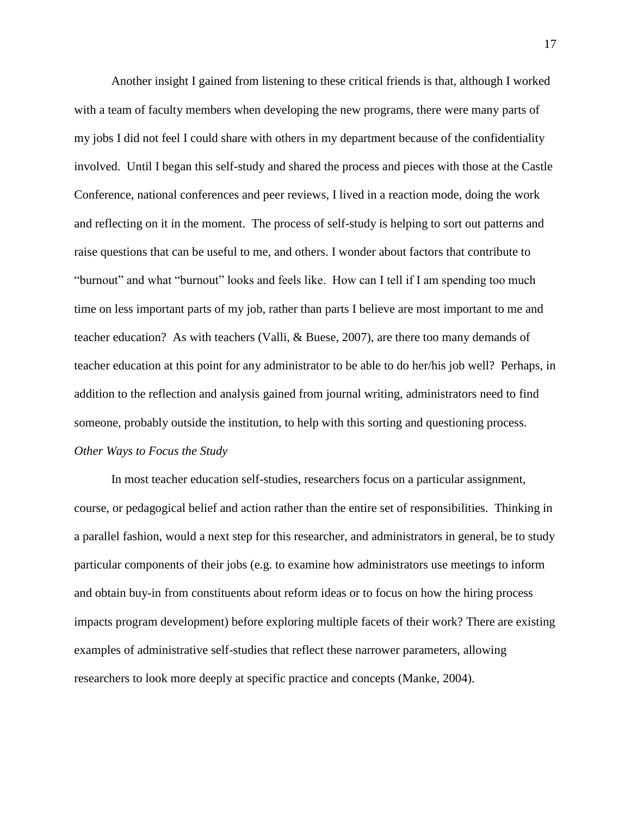Another insight I gained from listening to these critical friends is that, although I worked with a team of faculty members when developing the new programs, there were many parts of my jobs I did not feel I could share with others in my department because of the confidentiality involved. Until I began this self-study and shared the process and pieces with those at the Castle Conference, national conferences and peer reviews, I lived in a reaction mode, doing the work and reflecting on it in the moment. The process of self-study is helping to sort out patterns and raise questions that can be useful to me, and others. I wonder about factors that contribute to "burnout" and what "burnout" looks and feels like. How can I tell if I am spending too much time on less important parts of my job, rather than parts I believe are most important to me and teacher education? As with teachers (Valli, & Buese, 2007), are there too many demands of teacher education at this point for any administrator to be able to do her/his job well? Perhaps, in addition to the reflection and analysis gained from journal writing, administrators need to find someone, probably outside the institution, to help with this sorting and questioning process. *Other Ways to Focus the Study*

In most teacher education self-studies, researchers focus on a particular assignment, course, or pedagogical belief and action rather than the entire set of responsibilities. Thinking in a parallel fashion, would a next step for this researcher, and administrators in general, be to study particular components of their jobs (e.g. to examine how administrators use meetings to inform and obtain buy-in from constituents about reform ideas or to focus on how the hiring process impacts program development) before exploring multiple facets of their work? There are existing examples of administrative self-studies that reflect these narrower parameters, allowing researchers to look more deeply at specific practice and concepts (Manke, 2004).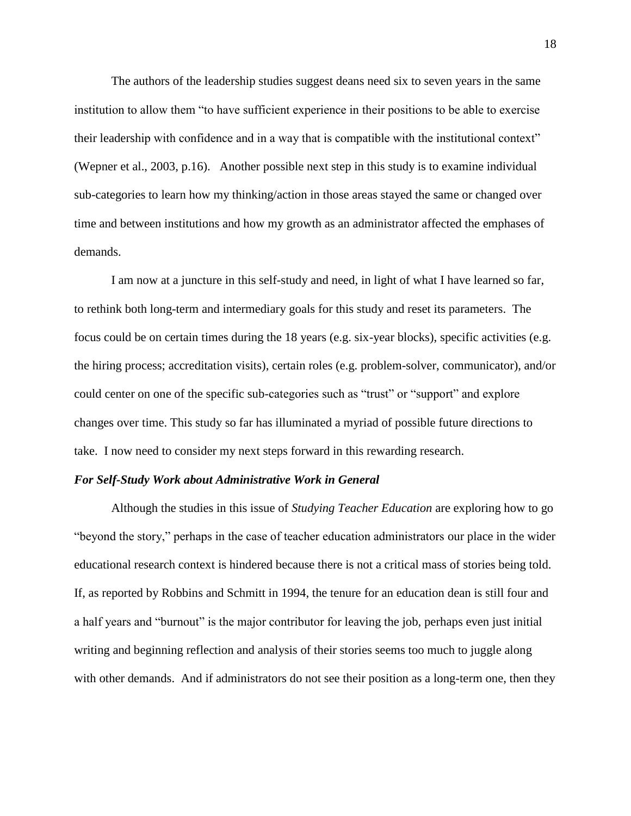The authors of the leadership studies suggest deans need six to seven years in the same institution to allow them "to have sufficient experience in their positions to be able to exercise their leadership with confidence and in a way that is compatible with the institutional context" (Wepner et al., 2003, p.16). Another possible next step in this study is to examine individual sub-categories to learn how my thinking/action in those areas stayed the same or changed over time and between institutions and how my growth as an administrator affected the emphases of demands.

I am now at a juncture in this self-study and need, in light of what I have learned so far, to rethink both long-term and intermediary goals for this study and reset its parameters. The focus could be on certain times during the 18 years (e.g. six-year blocks), specific activities (e.g. the hiring process; accreditation visits), certain roles (e.g. problem-solver, communicator), and/or could center on one of the specific sub-categories such as "trust" or "support" and explore changes over time. This study so far has illuminated a myriad of possible future directions to take. I now need to consider my next steps forward in this rewarding research.

#### *For Self-Study Work about Administrative Work in General*

Although the studies in this issue of *Studying Teacher Education* are exploring how to go "beyond the story," perhaps in the case of teacher education administrators our place in the wider educational research context is hindered because there is not a critical mass of stories being told. If, as reported by Robbins and Schmitt in 1994, the tenure for an education dean is still four and a half years and "burnout" is the major contributor for leaving the job, perhaps even just initial writing and beginning reflection and analysis of their stories seems too much to juggle along with other demands. And if administrators do not see their position as a long-term one, then they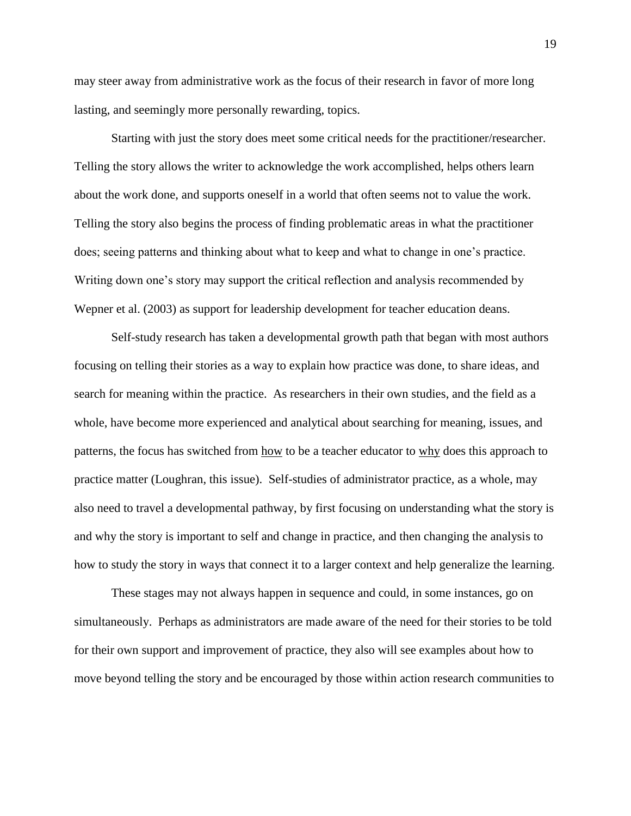may steer away from administrative work as the focus of their research in favor of more long lasting, and seemingly more personally rewarding, topics.

Starting with just the story does meet some critical needs for the practitioner/researcher. Telling the story allows the writer to acknowledge the work accomplished, helps others learn about the work done, and supports oneself in a world that often seems not to value the work. Telling the story also begins the process of finding problematic areas in what the practitioner does; seeing patterns and thinking about what to keep and what to change in one's practice. Writing down one's story may support the critical reflection and analysis recommended by Wepner et al. (2003) as support for leadership development for teacher education deans.

Self-study research has taken a developmental growth path that began with most authors focusing on telling their stories as a way to explain how practice was done, to share ideas, and search for meaning within the practice. As researchers in their own studies, and the field as a whole, have become more experienced and analytical about searching for meaning, issues, and patterns, the focus has switched from how to be a teacher educator to why does this approach to practice matter (Loughran, this issue). Self-studies of administrator practice, as a whole, may also need to travel a developmental pathway, by first focusing on understanding what the story is and why the story is important to self and change in practice, and then changing the analysis to how to study the story in ways that connect it to a larger context and help generalize the learning.

These stages may not always happen in sequence and could, in some instances, go on simultaneously. Perhaps as administrators are made aware of the need for their stories to be told for their own support and improvement of practice, they also will see examples about how to move beyond telling the story and be encouraged by those within action research communities to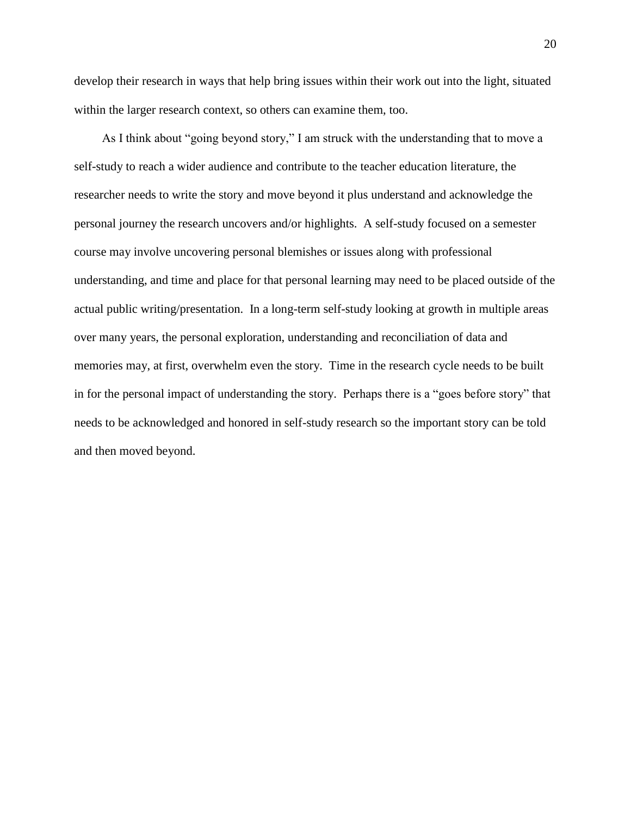develop their research in ways that help bring issues within their work out into the light, situated within the larger research context, so others can examine them, too.

 As I think about "going beyond story," I am struck with the understanding that to move a self-study to reach a wider audience and contribute to the teacher education literature, the researcher needs to write the story and move beyond it plus understand and acknowledge the personal journey the research uncovers and/or highlights. A self-study focused on a semester course may involve uncovering personal blemishes or issues along with professional understanding, and time and place for that personal learning may need to be placed outside of the actual public writing/presentation. In a long-term self-study looking at growth in multiple areas over many years, the personal exploration, understanding and reconciliation of data and memories may, at first, overwhelm even the story. Time in the research cycle needs to be built in for the personal impact of understanding the story. Perhaps there is a "goes before story" that needs to be acknowledged and honored in self-study research so the important story can be told and then moved beyond.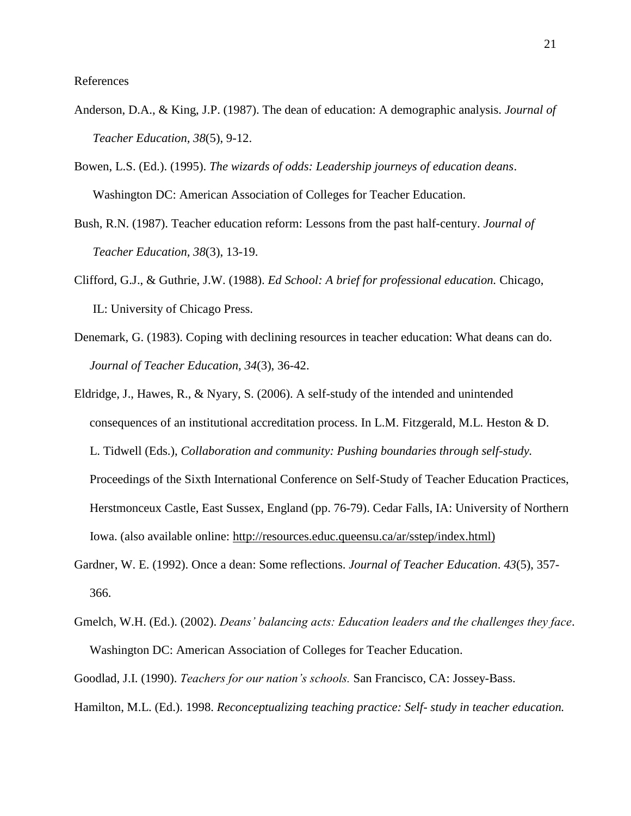References

- Anderson, D.A., & King, J.P. (1987). The dean of education: A demographic analysis. *Journal of Teacher Education, 38*(5), 9-12.
- Bowen, L.S. (Ed.). (1995). *The wizards of odds: Leadership journeys of education deans*. Washington DC: American Association of Colleges for Teacher Education.
- Bush, R.N. (1987). Teacher education reform: Lessons from the past half-century. *Journal of Teacher Education, 38*(3), 13-19.
- Clifford, G.J., & Guthrie, J.W. (1988). *Ed School: A brief for professional education.* Chicago, IL: University of Chicago Press.
- Denemark, G. (1983). Coping with declining resources in teacher education: What deans can do. *Journal of Teacher Education, 34*(3), 36-42.
- Eldridge, J., Hawes, R., & Nyary, S. (2006). A self-study of the intended and unintended consequences of an institutional accreditation process. In L.M. Fitzgerald, M.L. Heston & D. L. Tidwell (Eds.), *Collaboration and community: Pushing boundaries through self-study.* Proceedings of the Sixth International Conference on Self-Study of Teacher Education Practices, Herstmonceux Castle, East Sussex, England (pp. 76-79). Cedar Falls, IA: University of Northern
	- Iowa. (also available online: http://resources.educ.queensu.ca/ar/sstep/index.html)
- Gardner, W. E. (1992). Once a dean: Some reflections. *Journal of Teacher Education*. *43*(5), 357- 366.
- Gmelch, W.H. (Ed.). (2002). *Deans' balancing acts: Education leaders and the challenges they face*. Washington DC: American Association of Colleges for Teacher Education.
- Goodlad, J.I. (1990). *Teachers for our nation's schools.* San Francisco, CA: Jossey-Bass.
- Hamilton, M.L. (Ed.). 1998. *Reconceptualizing teaching practice: Self- study in teacher education.*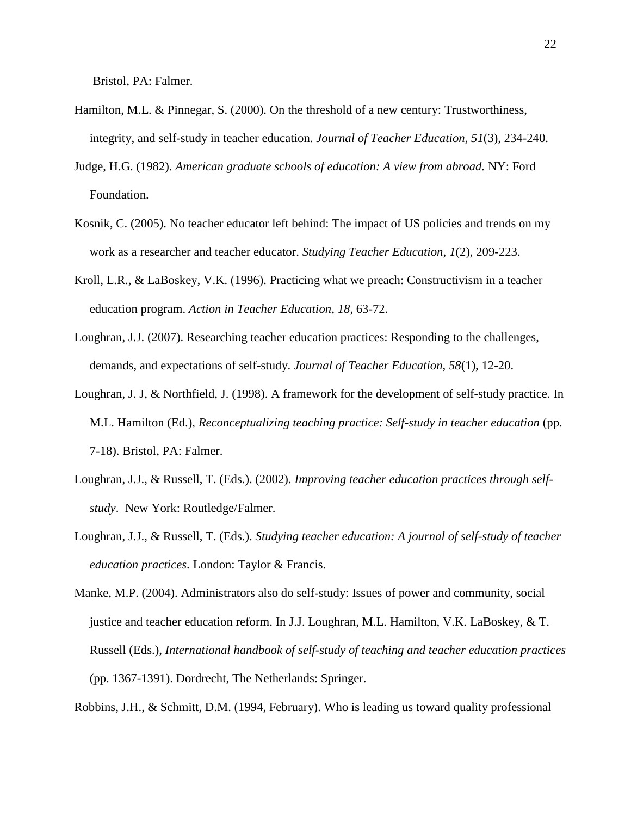Bristol, PA: Falmer.

- Hamilton, M.L. & Pinnegar, S. (2000). On the threshold of a new century: Trustworthiness, integrity, and self-study in teacher education. *Journal of Teacher Education, 51*(3), 234-240.
- Judge, H.G. (1982). *American graduate schools of education: A view from abroad.* NY: Ford Foundation.
- Kosnik, C. (2005). No teacher educator left behind: The impact of US policies and trends on my work as a researcher and teacher educator. *Studying Teacher Education*, *1*(2), 209-223.
- Kroll, L.R., & LaBoskey, V.K. (1996). Practicing what we preach: Constructivism in a teacher education program. *Action in Teacher Education, 18*, 63-72.
- Loughran, J.J. (2007). Researching teacher education practices: Responding to the challenges, demands, and expectations of self-study. *Journal of Teacher Education, 58*(1), 12-20.
- Loughran, J. J, & Northfield, J. (1998). A framework for the development of self-study practice. In M.L. Hamilton (Ed.), *Reconceptualizing teaching practice: Self-study in teacher education* (pp. 7-18). Bristol, PA: Falmer.
- Loughran, J.J., & Russell, T. (Eds.). (2002). *Improving teacher education practices through self study*. New York: Routledge/Falmer.
- Loughran, J.J., & Russell, T. (Eds.). *Studying teacher education: A journal of self-study of teacher education practices*. London: Taylor & Francis.
- Manke, M.P. (2004). Administrators also do self-study: Issues of power and community, social justice and teacher education reform. In J.J. Loughran, M.L. Hamilton, V.K. LaBoskey, & T. Russell (Eds.), *International handbook of self-study of teaching and teacher education practices* (pp. 1367-1391). Dordrecht, The Netherlands: Springer.

Robbins, J.H., & Schmitt, D.M. (1994, February). Who is leading us toward quality professional